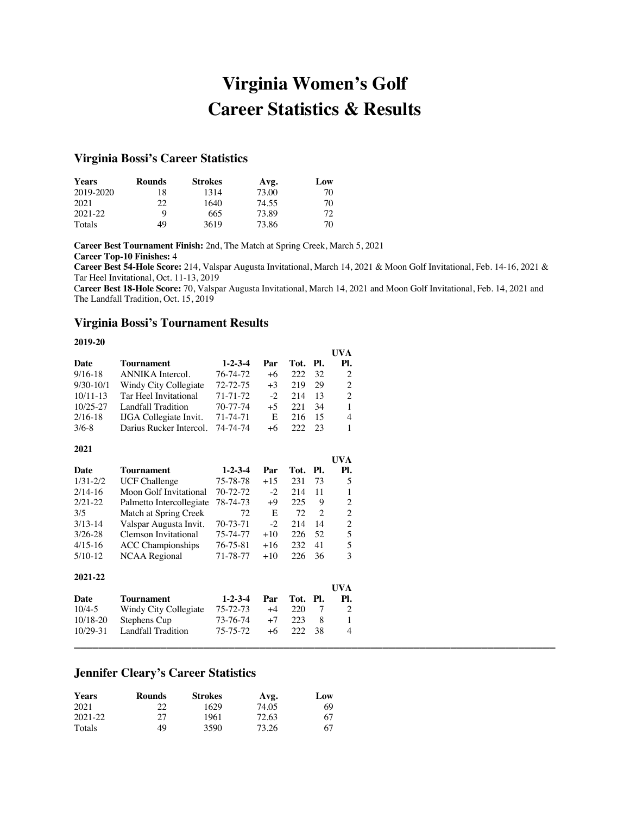# **Virginia Women's Golf Career Statistics & Results**

# **Virginia Bossi's Career Statistics**

| <b>Years</b> | <b>Rounds</b> | <b>Strokes</b> | Avg.  | Low |
|--------------|---------------|----------------|-------|-----|
| 2019-2020    | 18            | 1314           | 73.00 | 70  |
| 2021         | 22            | 1640           | 74.55 | 70  |
| 2021-22      | Q             | 665            | 73.89 | 72  |
| Totals       | 49            | 3619           | 73.86 | 70  |

**Career Best Tournament Finish:** 2nd, The Match at Spring Creek, March 5, 2021 **Career Top-10 Finishes:** 4

**Career Best 54-Hole Score:** 214, Valspar Augusta Invitational, March 14, 2021 & Moon Golf Invitational, Feb. 14-16, 2021 & Tar Heel Invitational, Oct. 11-13, 2019

C**areer Best 18-Hole Score:** 70, Valspar Augusta Invitational, March 14, 2021 and Moon Golf Invitational, Feb. 14, 2021 and The Landfall Tradition, Oct. 15, 2019

**UVA** 

**\_\_\_\_\_\_\_\_\_\_\_\_\_\_\_\_\_\_\_\_\_\_\_\_\_\_\_\_\_\_\_\_\_\_\_\_\_\_\_\_\_\_\_\_\_\_\_\_\_\_\_\_\_\_\_\_\_\_\_\_\_\_\_\_\_\_\_\_\_\_\_\_\_\_\_\_\_\_**

### **Virginia Bossi's Tournament Results**

#### **2019-20**

|              |                               |                 |      |          |     | UVA            |
|--------------|-------------------------------|-----------------|------|----------|-----|----------------|
| Date         | Tournament                    | $1 - 2 - 3 - 4$ | Par  | Tot. Pl. |     | PI.            |
| $9/16-18$    | ANNIKA Intercol.              | 76-74-72        | $+6$ | 222      | 32  | 2              |
| $9/30-10/1$  | Windy City Collegiate         | $72 - 72 - 75$  | $+3$ | 219      | 29  | 2              |
| $10/11 - 13$ | Tar Heel Invitational         | $71 - 71 - 72$  | $-2$ | 214      | 13  | $\mathfrak{D}$ |
| $10/25 - 27$ | Landfall Tradition            | 70-77-74        | $+5$ | 22.1     | -34 | $\mathbf{1}$   |
| $2/16-18$    | <b>IJGA</b> Collegiate Invit. | 71-74-71        | E    | 216      | 15  | 4              |
| $3/6 - 8$    | Darius Rucker Intercol.       | 74-74-74        | $+6$ | 222      | 23  | 1              |

#### **2021**

|              |                          |                 |       |      |     | UVA            |
|--------------|--------------------------|-----------------|-------|------|-----|----------------|
| Date         | Tournament               | $1 - 2 - 3 - 4$ | Par   | Tot. | PI. | Pl.            |
| $1/31 - 2/2$ | <b>UCF Challenge</b>     | 75-78-78        | $+15$ | 231  | 73  | 5              |
| $2/14-16$    | Moon Golf Invitational   | $70 - 72 - 72$  | $-2$  | 214  | 11  | 1              |
| $2/21 - 22$  | Palmetto Intercollegiate | 78-74-73        | $+9$  | 225  | 9   | 2              |
| 3/5          | Match at Spring Creek    | 72              | E     | 72   | 2   | $\overline{2}$ |
| $3/13 - 14$  | Valspar Augusta Invit.   | 70-73-71        | $-2$  | 214  | 14  | $\overline{2}$ |
| $3/26 - 28$  | Clemson Invitational     | 75-74-77        | $+10$ | 226  | 52  | 5              |
| $4/15-16$    | <b>ACC</b> Championships | 76-75-81        | $+16$ | 232  | 41  | 5              |
| $5/10-12$    | <b>NCAA</b> Regional     | 71-78-77        | $+10$ | 226  | 36  | 3              |
| 2021-22      |                          |                 |       |      |     |                |
|              |                          |                 |       |      |     | UVA            |
| Date         | Tournament               | $1 - 2 - 3 - 4$ | Par   | Tot. | Pl. | Pl.            |
| $10/4 - 5$   | Windy City Collegiate    | 75-72-73        | $+4$  | 220  | 7   | 2              |
| $10/18 - 20$ | Stephens Cup             | 73-76-74        | $+7$  | 223  | 8   | 1              |
| $10/29 - 31$ | Landfall Tradition       | 75-75-72        | $+6$  | 222  | 38  | 4              |

# **Jennifer Cleary's Career Statistics**

| <b>Years</b> | <b>Rounds</b> | <b>Strokes</b> | Avg.  | Low |
|--------------|---------------|----------------|-------|-----|
| 2021         | 22            | 1629           | 74.05 | 69  |
| 2021-22      | 27            | 1961           | 72.63 | 67  |
| Totals       | 49            | 3590           | 73.26 | 67  |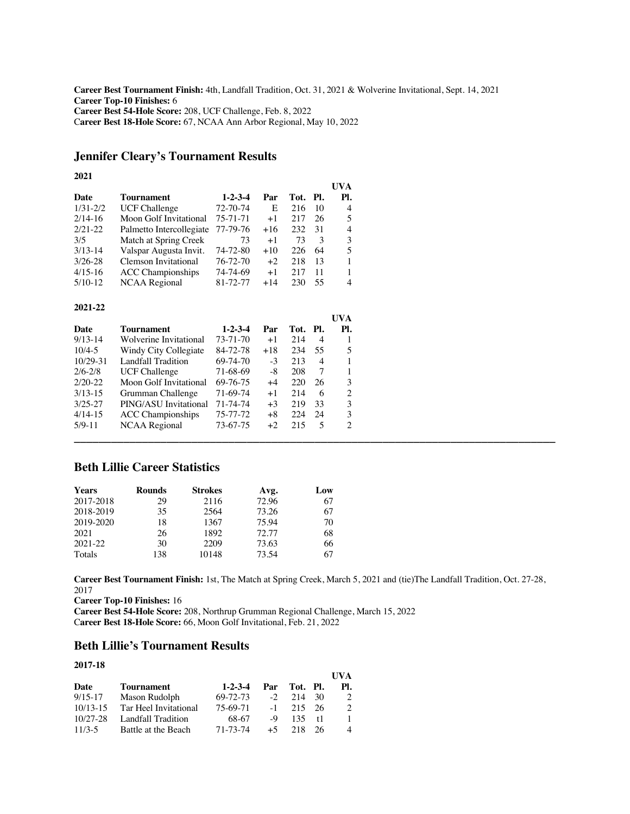**Career Best Tournament Finish:** 4th, Landfall Tradition, Oct. 31, 2021 & Wolverine Invitational, Sept. 14, 2021 **Career Top-10 Finishes:** 6 **Career Best 54-Hole Score:** 208, UCF Challenge, Feb. 8, 2022 C**areer Best 18-Hole Score:** 67, NCAA Ann Arbor Regional, May 10, 2022

# **Jennifer Cleary's Tournament Results**

### **2021**

|              |                          |                 |       |      |       | UVA |
|--------------|--------------------------|-----------------|-------|------|-------|-----|
| Date         | Tournament               | $1 - 2 - 3 - 4$ | Par   | Tot. | - PI. | Pl. |
| $1/31 - 2/2$ | <b>UCF Challenge</b>     | 72-70-74        | E     | 216  | 10    | 4   |
| $2/14-16$    | Moon Golf Invitational   | 75-71-71        | $+1$  | 217  | 26    | 5   |
| $2/21-22$    | Palmetto Intercollegiate | 77-79-76        | $+16$ | 232  | 31    | 4   |
| 3/5          | Match at Spring Creek    | 73              | $+1$  | 73   | 3     | 3   |
| $3/13 - 14$  | Valspar Augusta Invit.   | $74 - 72 - 80$  | $+10$ | 226  | 64    | 5   |
| $3/26 - 28$  | Clemson Invitational     | 76-72-70        | $+2$  | 218  | 13    |     |
| $4/15 - 16$  | <b>ACC</b> Championships | 74-74-69        | $+1$  | 217  | 11    |     |
| $5/10-12$    | NCAA Regional            | 81-72-77        | $+14$ | 230  | 55    | 4   |

### **2021-22**

|                          |                 |       |     |                | UVA                         |
|--------------------------|-----------------|-------|-----|----------------|-----------------------------|
| <b>Tournament</b>        | $1 - 2 - 3 - 4$ | Par   |     |                | Pl.                         |
| Wolverine Invitational   | 73-71-70        | $+1$  | 214 | $\overline{4}$ |                             |
| Windy City Collegiate    | 84-72-78        | $+18$ | 234 | 55             | 5                           |
| Landfall Tradition       | 69-74-70        | $-3$  | 213 | $\overline{4}$ |                             |
| <b>UCF Challenge</b>     | 71-68-69        | -8    | 208 |                |                             |
| Moon Golf Invitational   | 69-76-75        | $+4$  | 220 | 26             | 3                           |
| Grumman Challenge        | 71-69-74        | $+1$  | 214 | -6             | $\mathcal{D}_{\mathcal{L}}$ |
| PING/ASU Invitational    | 71-74-74        | $+3$  | 219 | - 33           | 3                           |
| <b>ACC</b> Championships | 75-77-72        | $+8$  | 224 | -24            | 3                           |
| NCAA Regional            | 73-67-75        | $+2$  | 215 | -5             | 2                           |
|                          |                 |       |     |                |                             |
|                          |                 |       |     |                | Tot. Pl.                    |

# **Beth Lillie Career Statistics**

| <b>Years</b> | <b>Rounds</b> | <b>Strokes</b> | Avg.  | Low |
|--------------|---------------|----------------|-------|-----|
| 2017-2018    | 29            | 2116           | 72.96 | 67  |
| 2018-2019    | 35            | 2564           | 73.26 | 67  |
| 2019-2020    | 18            | 1367           | 75.94 | 70  |
| 2021         | 26            | 1892           | 72.77 | 68  |
| 2021-22      | 30            | 2209           | 73.63 | 66  |
| Totals       | 138           | 10148          | 73.54 | 67  |

**Career Best Tournament Finish:** 1st, The Match at Spring Creek, March 5, 2021 and (tie)The Landfall Tradition, Oct. 27-28, 2017

**UVA** 

**Career Top-10 Finishes:** 16

**Career Best 54-Hole Score:** 208, Northrup Grumman Regional Challenge, March 15, 2022 C**areer Best 18-Hole Score:** 66, Moon Golf Invitational, Feb. 21, 2022

# **Beth Lillie's Tournament Results**

### **2017-18**

|              |                       |                 |      |             |    | UVA           |
|--------------|-----------------------|-----------------|------|-------------|----|---------------|
| Date         | Tournament            | $1 - 2 - 3 - 4$ | Par  | Tot. Pl.    |    | PI.           |
| $9/15 - 17$  | Mason Rudolph         | 69-72-73        | $-2$ | 214 30      |    |               |
| $10/13 - 15$ | Tar Heel Invitational | 75-69-71        |      | $-1$ 215 26 |    | $\mathcal{D}$ |
| $10/27 - 28$ | Landfall Tradition    | 68-67           | $-9$ | 135 t1      |    |               |
| $11/3-5$     | Battle at the Beach   | 71-73-74        | $+5$ | 218         | 26 |               |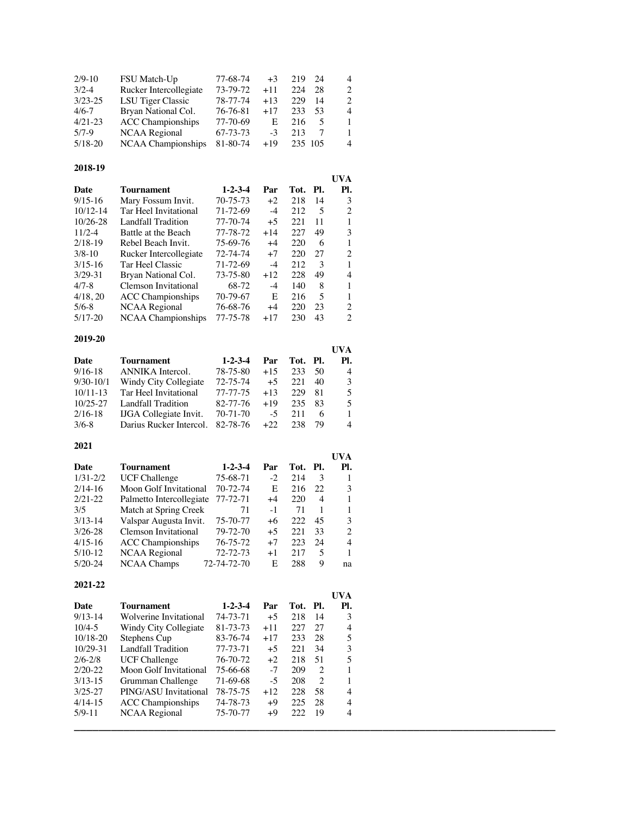| $2/9-10$<br>$3/2-4$<br>$3/23 - 25$<br>$4/6 - 7$<br>$4/21-23$                                                                                    | FSU Match-Up<br>Rucker Intercollegiate<br>LSU Tiger Classic<br>Bryan National Col.<br><b>ACC Championships</b>                                                                                                                                                      | 77-68-74<br>73-79-72<br>78-77-74<br>76-76-81<br>77-70-69                                                                             | $+3$<br>$+11$<br>$+13$<br>$+17$<br>Ε                                               | 219<br>224<br>229<br>233<br>216                                            | 24<br>28<br>14<br>53<br>5                                            | 4<br>$\overline{c}$<br>2<br>4<br>1                                            |
|-------------------------------------------------------------------------------------------------------------------------------------------------|---------------------------------------------------------------------------------------------------------------------------------------------------------------------------------------------------------------------------------------------------------------------|--------------------------------------------------------------------------------------------------------------------------------------|------------------------------------------------------------------------------------|----------------------------------------------------------------------------|----------------------------------------------------------------------|-------------------------------------------------------------------------------|
| $5/7-9$<br>$5/18 - 20$                                                                                                                          | <b>NCAA</b> Regional<br>NCAA Championships                                                                                                                                                                                                                          | 67-73-73<br>81-80-74                                                                                                                 | $-3$<br>$+19$                                                                      | 213<br>235 105                                                             | 7                                                                    | $\mathbf{1}$<br>4                                                             |
| 2018-19                                                                                                                                         |                                                                                                                                                                                                                                                                     |                                                                                                                                      |                                                                                    |                                                                            |                                                                      | <b>UVA</b>                                                                    |
| Date<br>$9/15 - 16$<br>$10/12 - 14$<br>10/26-28<br>$11/2 - 4$<br>$2/18-19$<br>$3/8 - 10$<br>$3/15 - 16$<br>$3/29 - 31$<br>$4/7 - 8$<br>4/18, 20 | <b>Tournament</b><br>Mary Fossum Invit.<br>Tar Heel Invitational<br><b>Landfall Tradition</b><br>Battle at the Beach<br>Rebel Beach Invit.<br>Rucker Intercollegiate<br>Tar Heel Classic<br>Bryan National Col.<br>Clemson Invitational<br><b>ACC</b> Championships | $1 - 2 - 3 - 4$<br>70-75-73<br>71-72-69<br>77-70-74<br>77-78-72<br>75-69-76<br>72-74-74<br>71-72-69<br>73-75-80<br>68-72<br>70-79-67 | Par<br>$+2$<br>$-4$<br>$+5$<br>$+14$<br>$+4$<br>$+7$<br>$-4$<br>$+12$<br>$-4$<br>Ε | Tot.<br>218<br>212<br>221<br>227<br>220<br>220<br>212<br>228<br>140<br>216 | Pl.<br>14<br>5<br>11<br>49<br>6<br>27<br>3<br>49<br>8<br>5<br>23     | Pl.<br>3<br>$\overline{c}$<br>1<br>3<br>$\mathbf{1}$<br>2<br>1<br>4<br>1<br>1 |
| $5/6 - 8$<br>$5/17-20$                                                                                                                          | <b>NCAA</b> Regional<br>NCAA Championships                                                                                                                                                                                                                          | 76-68-76<br>77-75-78                                                                                                                 | $+4$<br>$+17$                                                                      | 220<br>230                                                                 | 43                                                                   | 2<br>$\overline{c}$                                                           |
| 2019-20                                                                                                                                         |                                                                                                                                                                                                                                                                     |                                                                                                                                      |                                                                                    |                                                                            |                                                                      | <b>UVA</b>                                                                    |
| Date<br>$9/16 - 18$<br>$9/30-10/1$<br>$10/11-13$<br>10/25-27<br>$2/16-18$<br>$3/6 - 8$                                                          | <b>Tournament</b><br>ANNIKA Intercol.<br>Windy City Collegiate<br>Tar Heel Invitational<br>Landfall Tradition<br>IJGA Collegiate Invit.<br>Darius Rucker Intercol.                                                                                                  | $1 - 2 - 3 - 4$<br>78-75-80<br>72-75-74<br>77-77-75<br>82-77-76<br>$70 - 71 - 70$<br>82-78-76                                        | Par<br>+15<br>$+5$<br>$+13$<br>+19<br>$-5$<br>$+22$                                | Tot.<br>233<br>221<br>229<br>235<br>211<br>238                             | Pl.<br>50<br>40<br>81<br>83<br>6<br>79                               | Pl.<br>4<br>3<br>5<br>5<br>1<br>4                                             |
| 2021                                                                                                                                            |                                                                                                                                                                                                                                                                     |                                                                                                                                      |                                                                                    |                                                                            |                                                                      |                                                                               |
| <b>Date</b><br>$1/31 - 2/2$<br>$2/14-16$<br>$2/21 - 22$<br>3/5<br>$3/13 - 14$<br>$3/26 - 28$<br>$4/15-16$<br>$5/10-12$<br>$5/20-24$             | <b>Tournament</b><br><b>UCF</b> Challenge<br>Moon Golf Invitational<br>Palmetto Intercollegiate<br>Match at Spring Creek<br>Valspar Augusta Invit.<br>Clemson Invitational<br><b>ACC</b> Championships<br><b>NCAA Regional</b><br><b>NCAA Champs</b>                | $1 - 2 - 3 - 4$<br>75-68-71<br>70-72-74<br>77-72-71<br>71<br>75-70-77<br>79-72-70<br>76-75-72<br>72-72-73<br>72-74-72-70             | Par<br>$-2$<br>Ε<br>$+4$<br>$-1$<br>$+6$<br>$+5$<br>$+7$<br>$+1$<br>Ε              | Tot.<br>214<br>216<br>220<br>71<br>222<br>221<br>223<br>217<br>288         | Pl.<br>3<br>22<br>4<br>1<br>45<br>33<br>24<br>5<br>9                 | <b>UVA</b><br>Pl.<br>1<br>3<br>1<br>1<br>3<br>$\mathfrak{D}$<br>4<br>1<br>na  |
| 2021-22                                                                                                                                         |                                                                                                                                                                                                                                                                     |                                                                                                                                      |                                                                                    |                                                                            |                                                                      | <b>UVA</b>                                                                    |
| Date<br>$9/13-14$<br>$10/4 - 5$<br>10/18-20<br>10/29-31<br>$2/6 - 2/8$<br>$2/20 - 22$<br>$3/13 - 15$<br>$3/25 - 27$<br>$4/14-15$<br>$5/9 - 11$  | <b>Tournament</b><br>Wolverine Invitational<br>Windy City Collegiate<br>Stephens Cup<br>Landfall Tradition<br><b>UCF Challenge</b><br>Moon Golf Invitational<br>Grumman Challenge<br>PING/ASU Invitational<br><b>ACC Championships</b>                              | $1 - 2 - 3 - 4$<br>74-73-71<br>81-73-73<br>83-76-74<br>77-73-71<br>76-70-72<br>75-66-68<br>71-69-68<br>78-75-75<br>74-78-73          | Par<br>$+5$<br>$+11$<br>$+17$<br>$+5$<br>$+2$<br>$-7$<br>$-5$<br>$+12$<br>$+9$     | Tot.<br>218<br>227<br>233<br>221<br>218<br>209<br>208<br>228<br>225        | Pl.<br>14<br>27<br>28<br>34<br>51<br>2<br>$\overline{c}$<br>58<br>28 | Pl.<br>3<br>4<br>5<br>3<br>5<br>1<br>1<br>4<br>4                              |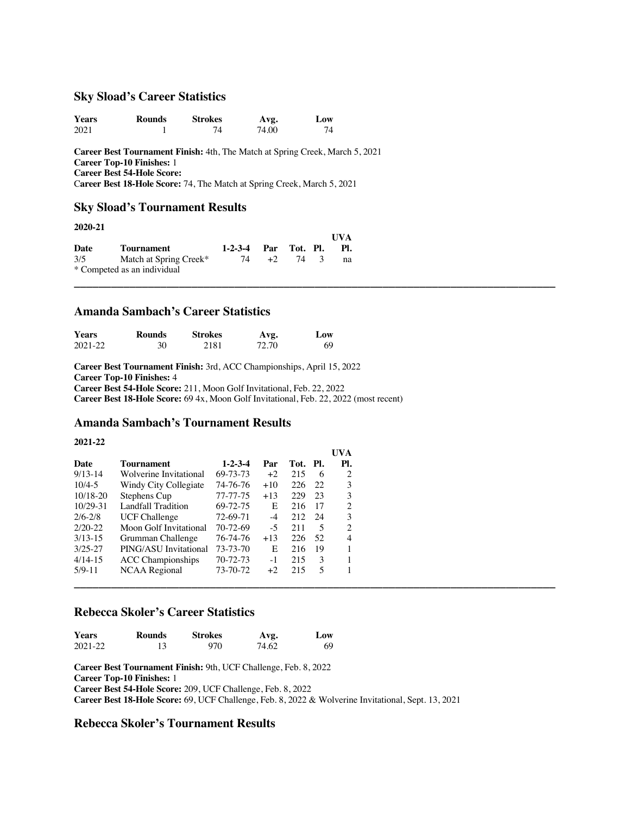### **Sky Sload's Career Statistics**

| <b>Years</b> | Rounds | <b>Strokes</b> | Avg.  | <b>Low</b> |
|--------------|--------|----------------|-------|------------|
| 2021         |        |                | 74.00 |            |

**Career Best Tournament Finish:** 4th, The Match at Spring Creek, March 5, 2021 **Career Top-10 Finishes:** 1 **Career Best 54-Hole Score:** C**areer Best 18-Hole Score:** 74, The Match at Spring Creek, March 5, 2021

**UVA** 

**UVA**

**\_\_\_\_\_\_\_\_\_\_\_\_\_\_\_\_\_\_\_\_\_\_\_\_\_\_\_\_\_\_\_\_\_\_\_\_\_\_\_\_\_\_\_\_\_\_\_\_\_\_\_\_\_\_\_\_\_\_\_\_\_\_\_\_\_\_\_\_\_\_\_\_\_\_\_\_\_\_**

### **Sky Sload's Tournament Results**

### **2020-21**

|      |                             |                      |           | $\mathbf{U} \mathbf{V} \mathbf{A}$ |
|------|-----------------------------|----------------------|-----------|------------------------------------|
| Date | Tournament                  | 1-2-3-4 Par Tot. Pl. |           | - PL.                              |
| 3/5  | Match at Spring Creek*      | 74                   | $+2$ 74 3 | na                                 |
|      | * Competed as an individual |                      |           |                                    |

# **Amanda Sambach's Career Statistics**

| <b>Years</b> | Rounds | <b>Strokes</b> | Avg.  | Low |
|--------------|--------|----------------|-------|-----|
| 2021-22      | 30     | 2181           | 72.70 | 69  |

**Career Best Tournament Finish:** 3rd, ACC Championships, April 15, 2022 **Career Top-10 Finishes:** 4 **Career Best 54-Hole Score:** 211, Moon Golf Invitational, Feb. 22, 2022 **Career Best 18-Hole Score:** 69 4x, Moon Golf Invitational, Feb. 22, 2022 (most recent)

## **Amanda Sambach's Tournament Results**

#### **2021-22**

| <b>Tournament</b>        | $1 - 2 - 3 - 4$ | Par   |     |      | Pl.                         |
|--------------------------|-----------------|-------|-----|------|-----------------------------|
| Wolverine Invitational   | 69-73-73        | $+2$  | 215 | -6   | 2                           |
| Windy City Collegiate    | 74-76-76        | $+10$ | 226 | -22  | 3                           |
| Stephens Cup             | 77-77-75        | $+13$ | 229 | - 23 | 3                           |
| Landfall Tradition       | 69-72-75        | E     | 216 | - 17 | $\mathcal{D}_{\mathcal{L}}$ |
| <b>UCF Challenge</b>     | 72-69-71        | $-4$  | 212 |      | 3                           |
| Moon Golf Invitational   | 70-72-69        | $-5$  | 211 | -5   | $\mathcal{L}$               |
| Grumman Challenge        | 76-74-76        | $+13$ | 226 | -52  | 4                           |
| PING/ASU Invitational    | 73-73-70        | E     | 216 | - 19 |                             |
| <b>ACC</b> Championships | 70-72-73        | $-1$  | 215 | 3    |                             |
| NCAA Regional            | 73-70-72        | $+2$  | 215 | 5    |                             |
|                          |                 |       |     |      |                             |
|                          |                 |       |     |      | Tot. Pl.<br>- 24            |

# **Rebecca Skoler's Career Statistics**

| <b>Years</b> | <b>Rounds</b> | <b>Strokes</b> | Avg.  | Low |
|--------------|---------------|----------------|-------|-----|
| $2021 - 22$  |               | 970            | 74.62 | 69  |

**Career Best Tournament Finish:** 9th, UCF Challenge, Feb. 8, 2022 **Career Top-10 Finishes:** 1 **Career Best 54-Hole Score:** 209, UCF Challenge, Feb. 8, 2022 **Career Best 18-Hole Score:** 69, UCF Challenge, Feb. 8, 2022 & Wolverine Invitational, Sept. 13, 2021

### **Rebecca Skoler's Tournament Results**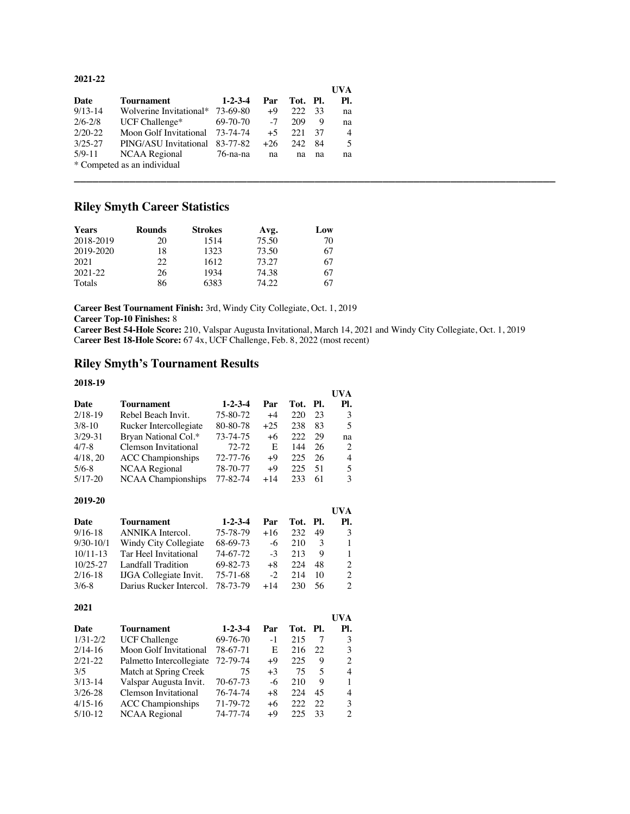### **2021-22**

|             |                                  |                 |       |          |      | UVA |
|-------------|----------------------------------|-----------------|-------|----------|------|-----|
| Date        | Tournament                       | $1 - 2 - 3 - 4$ | Par   | Tot. Pl. |      | PI. |
| $9/13-14$   | Wolverine Invitational* 73-69-80 |                 | +9    | 222 33   |      | na  |
| $2/6 - 2/8$ | $UCF$ Challenge*                 | 69-70-70        | $-7$  | 209      | - 9  | na  |
| $2/20 - 22$ | Moon Golf Invitational 73-74-74  |                 | $+5$  | 22.1     | - 37 | 4   |
| $3/25 - 27$ | PING/ASU Invitational 83-77-82   |                 | $+26$ | 242 84   |      |     |
| $5/9 - 11$  | NCAA Regional                    | 76-na-na        | na    | na       | na   | na  |
|             | * Competed as an individual      |                 |       |          |      |     |
|             |                                  |                 |       |          |      |     |

# **Riley Smyth Career Statistics**

| <b>Years</b> | <b>Rounds</b> | <b>Strokes</b> | Avg.  | Low |
|--------------|---------------|----------------|-------|-----|
| 2018-2019    | 20            | 1514           | 75.50 | 70  |
| 2019-2020    | 18            | 1323           | 73.50 | 67  |
| 2021         | 22            | 1612           | 73.27 | 67  |
| 2021-22      | 26            | 1934           | 74.38 | 67  |
| Totals       | 86            | 6383           | 74.22 | 67  |

**Career Best Tournament Finish:** 3rd, Windy City Collegiate, Oct. 1, 2019

**Career Top-10 Finishes:** 8

**Career Best 54-Hole Score:** 210, Valspar Augusta Invitational, March 14, 2021 and Windy City Collegiate, Oct. 1, 2019 C**areer Best 18-Hole Score:** 67 4x, UCF Challenge, Feb. 8, 2022 (most recent)

# **Riley Smyth's Tournament Results**

#### **2018-19**

|             |                           |                 |       |          |     | UVA            |
|-------------|---------------------------|-----------------|-------|----------|-----|----------------|
| Date        | <b>Tournament</b>         | $1 - 2 - 3 - 4$ | Par   | Tot. Pl. |     | Pl.            |
| $2/18-19$   | Rebel Beach Invit.        | 75-80-72        | $+4$  | 220      | 23  | 3              |
| $3/8 - 10$  | Rucker Intercollegiate    | 80-80-78        | $+25$ | 238      | 83  | $\overline{5}$ |
| $3/29 - 31$ | Bryan National Col.*      | 73-74-75        | $+6$  | 222      | 29  | na             |
| $4/7 - 8$   | Clemson Invitational      | 72-72           | E     | 144      | 26  | 2              |
| 4/18, 20    | <b>ACC</b> Championships  | 72-77-76        | $+9$  | 225      | 26  | 4              |
| $5/6 - 8$   | <b>NCAA</b> Regional      | 78-70-77        | $+9$  | 225      | -51 | 5              |
| $5/17-20$   | <b>NCAA Championships</b> | 77-82-74        | $+14$ | 233      | 61  | 3              |

#### **2019-20**

|              |                               |                 |       |          |    | UVA                         |
|--------------|-------------------------------|-----------------|-------|----------|----|-----------------------------|
| Date         | <b>Tournament</b>             | $1 - 2 - 3 - 4$ | Par   | Tot. Pl. |    | PI.                         |
| $9/16-18$    | ANNIKA Intercol.              | 75-78-79        | $+16$ | 232      | 49 | 3                           |
| $9/30-10/1$  | Windy City Collegiate         | 68-69-73        | $-6$  | 210      | 3  | 1                           |
| $10/11 - 13$ | Tar Heel Invitational         | 74-67-72        | $-3$  | 213      | 9  | -1                          |
| $10/25 - 27$ | Landfall Tradition            | 69-82-73        | $+8$  | 224      | 48 | $\mathcal{D}_{\mathcal{L}}$ |
| $2/16-18$    | <b>IJGA</b> Collegiate Invit. | 75-71-68        | $-2$  | 214      | 10 | $\mathcal{L}$               |
| $3/6-8$      | Darius Rucker Intercol.       | 78-73-79        | $+14$ | 230      | 56 | $\mathcal{D}_{\mathcal{A}}$ |

| 2021         |                          |                 |      |          |     |     |
|--------------|--------------------------|-----------------|------|----------|-----|-----|
|              |                          |                 |      |          |     | UVA |
| Date         | Tournament               | $1 - 2 - 3 - 4$ | Par  | Tot. Pl. |     | Pl. |
| $1/31 - 2/2$ | <b>UCF Challenge</b>     | 69-76-70        | $-1$ | 215      |     | 3   |
| $2/14-16$    | Moon Golf Invitational   | 78-67-71        | E    | 216      | 22. | 3   |
| $2/21 - 22$  | Palmetto Intercollegiate | 72-79-74        | $+9$ | 225      | 9   | 2   |
| 3/5          | Match at Spring Creek    | 75              | $+3$ | 75       | 5   | 4   |
| $3/13-14$    | Valspar Augusta Invit.   | 70-67-73        | -6   | 210      | 9   |     |
| $3/26 - 28$  | Clemson Invitational     | 76-74-74        | $+8$ | 224      | 45  | 4   |
| $4/15-16$    | <b>ACC</b> Championships | 71-79-72        | $+6$ | 222      | 22. | 3   |
| $5/10-12$    | <b>NCAA Regional</b>     | 74-77-74        | $+9$ | 225      | 33  | 2   |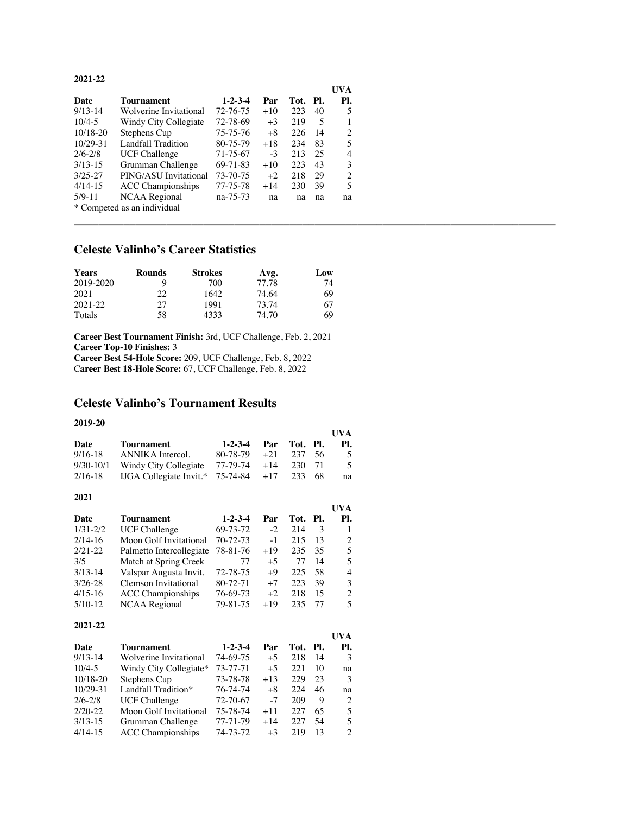#### **2021-22**

|              |                             |                 |       |      |     | <b>UVA</b> |
|--------------|-----------------------------|-----------------|-------|------|-----|------------|
| Date         | Tournament                  | $1 - 2 - 3 - 4$ | Par   | Tot. | PI. | Pl.        |
| $9/13-14$    | Wolverine Invitational      | 72-76-75        | $+10$ | 223  | 40  | 5          |
| $10/4 - 5$   | Windy City Collegiate       | 72-78-69        | $+3$  | 219  | 5   |            |
| $10/18 - 20$ | Stephens Cup                | 75-75-76        | $+8$  | 226  | 14  | 2          |
| $10/29 - 31$ | Landfall Tradition          | 80-75-79        | $+18$ | 234  | 83  | 5          |
| $2/6 - 2/8$  | <b>UCF Challenge</b>        | 71-75-67        | $-3$  | 213  | 25  | 4          |
| $3/13 - 15$  | Grumman Challenge           | 69-71-83        | $+10$ | 223  | 43  | 3          |
| $3/25 - 27$  | PING/ASU Invitational       | 73-70-75        | $+2$  | 218  | 29  | 2          |
| $4/14-15$    | <b>ACC</b> Championships    | 77-75-78        | $+14$ | 230  | 39  | 5          |
| $5/9 - 11$   | NCAA Regional               | na-75-73        | na    | na   | na  | na         |
|              | * Competed as an individual |                 |       |      |     |            |

**\_\_\_\_\_\_\_\_\_\_\_\_\_\_\_\_\_\_\_\_\_\_\_\_\_\_\_\_\_\_\_\_\_\_\_\_\_\_\_\_\_\_\_\_\_\_\_\_\_\_\_\_\_\_\_\_\_\_\_\_\_\_\_\_\_\_\_\_\_\_\_\_\_\_\_\_\_\_**

# **Celeste Valinho's Career Statistics**

| <b>Years</b> | <b>Rounds</b> | <b>Strokes</b> | Avg.  | Low |
|--------------|---------------|----------------|-------|-----|
| 2019-2020    | Q             | 700            | 77.78 | 74  |
| 2021         | າາ            | 1642           | 74.64 | 69  |
| $2021 - 22$  | 27            | 1991           | 73.74 | 67  |
| Totals       | 58            | 4333           | 74.70 | 69  |

**Career Best Tournament Finish:** 3rd, UCF Challenge, Feb. 2, 2021 **Career Top-10 Finishes:** 3 **Career Best 54-Hole Score:** 209, UCF Challenge, Feb. 8, 2022

C**areer Best 18-Hole Score:** 67, UCF Challenge, Feb. 8, 2022

# **Celeste Valinho's Tournament Results**

### **2019-20**

|             |                                       |               |       |          |      | <b>I</b> IVA |
|-------------|---------------------------------------|---------------|-------|----------|------|--------------|
| Date        | <b>Tournament</b>                     | $1-2-3-4$ Par |       | Tot. Pl. |      | PI.          |
| $9/16 - 18$ | ANNIKA Intercol.                      | 80-78-79      | $+21$ | 237      | - 56 | 5            |
| $9/30-10/1$ | Windy City Collegiate                 | 77-79-74      | $+14$ | 230 71   |      | -5.          |
| 2/16-18     | $IJGA$ Collegiate Invit. $*$ 75-74-84 |               | $+17$ | 233      | -68  | na           |

### **2021**

|              |                          |                 |       |          |     | UVA |
|--------------|--------------------------|-----------------|-------|----------|-----|-----|
| Date         | Tournament               | $1 - 2 - 3 - 4$ | Par   | Tot. Pl. |     | Pl. |
| $1/31 - 2/2$ | <b>UCF Challenge</b>     | 69-73-72        | $-2$  | 214      | 3   |     |
| $2/14-16$    | Moon Golf Invitational   | 70-72-73        | $-1$  | 215      | 13  | 2   |
| $2/21 - 22$  | Palmetto Intercollegiate | 78-81-76        | +19   | 235      | 35  | 5   |
| 3/5          | Match at Spring Creek    | 77              | $+5$  | 77       | 14  | 5   |
| $3/13-14$    | Valspar Augusta Invit.   | 72-78-75        | $+9$  | 225      | .58 | 4   |
| $3/26 - 28$  | Clemson Invitational     | 80-72-71        | $+7$  | 223      | 39  | 3   |
| $4/15-16$    | <b>ACC</b> Championships | 76-69-73        | $+2$  | 218      | 15  | 2   |
| $5/10-12$    | NCAA Regional            | 79-81-75        | $+19$ | 235      | 77  | 5   |

### **2021-22**

|              |                          |                 |       |      |      | UVA |
|--------------|--------------------------|-----------------|-------|------|------|-----|
| Date         | Tournament               | $1 - 2 - 3 - 4$ | Par   | Tot. | -PI. | Pl. |
| $9/13-14$    | Wolverine Invitational   | 74-69-75        | $+5$  | 218  | 14   | 3   |
| $10/4 - 5$   | Windy City Collegiate*   | 73-77-71        | $+5$  | 22.1 | 10   | na  |
| $10/18 - 20$ | Stephens Cup             | 73-78-78        | $+13$ | 229  | 23   | 3   |
| $10/29 - 31$ | Landfall Tradition*      | 76-74-74        | $+8$  | 224  | 46   | na  |
| $2/6 - 2/8$  | <b>UCF Challenge</b>     | 72-70-67        | $-7$  | 209  | 9    | 2   |
| $2/20-22$    | Moon Golf Invitational   | 75-78-74        | $+11$ | 227  | 65   | 5   |
| $3/13-15$    | Grumman Challenge        | $77 - 71 - 79$  | $+14$ | 227  | 54   | 5   |
| $4/14-15$    | <b>ACC</b> Championships | 74-73-72        | $+3$  | 219  | 13   | 2   |